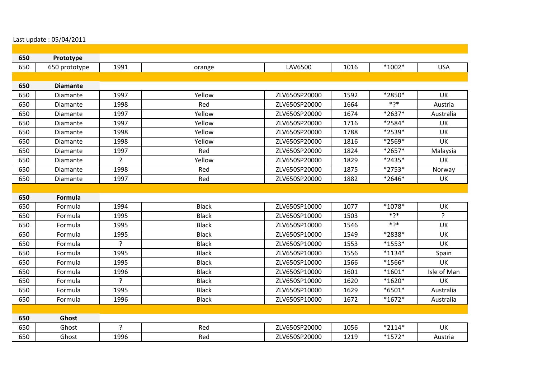## Last update : 05/04/2011

| 650 | Prototype       |                |              |               |      |          |                |
|-----|-----------------|----------------|--------------|---------------|------|----------|----------------|
| 650 | 650 prototype   | 1991           | orange       | LAV6500       | 1016 | $*1002*$ | <b>USA</b>     |
|     |                 |                |              |               |      |          |                |
| 650 | <b>Diamante</b> |                |              |               |      |          |                |
| 650 | Diamante        | 1997           | Yellow       | ZLV650SP20000 | 1592 | *2850*   | <b>UK</b>      |
| 650 | Diamante        | 1998           | Red          | ZLV650SP20000 | 1664 | ∗?ַ      | Austria        |
| 650 | Diamante        | 1997           | Yellow       | ZLV650SP20000 | 1674 | *2637*   | Australia      |
| 650 | Diamante        | 1997           | Yellow       | ZLV650SP20000 | 1716 | *2584*   | UK             |
| 650 | Diamante        | 1998           | Yellow       | ZLV650SP20000 | 1788 | *2539*   | UK             |
| 650 | Diamante        | 1998           | Yellow       | ZLV650SP20000 | 1816 | *2569*   | UK             |
| 650 | Diamante        | 1997           | Red          | ZLV650SP20000 | 1824 | *2657*   | Malaysia       |
| 650 | Diamante        | $\tilde{f}$    | Yellow       | ZLV650SP20000 | 1829 | *2435*   | <b>UK</b>      |
| 650 | Diamante        | 1998           | Red          | ZLV650SP20000 | 1875 | $*2753*$ | Norway         |
| 650 | Diamante        | 1997           | Red          | ZLV650SP20000 | 1882 | *2646*   | <b>UK</b>      |
|     |                 |                |              |               |      |          |                |
| 650 | <b>Formula</b>  |                |              |               |      |          |                |
| 650 | Formula         | 1994           | <b>Black</b> | ZLV650SP10000 | 1077 | $*1078*$ | <b>UK</b>      |
| 650 | Formula         | 1995           | <b>Black</b> | ZLV650SP10000 | 1503 | ∗?∗      | $\overline{?}$ |
| 650 | Formula         | 1995           | <b>Black</b> | ZLV650SP10000 | 1546 | ∗?*      | UK             |
| 650 | Formula         | 1995           | <b>Black</b> | ZLV650SP10000 | 1549 | *2838*   | UK             |
| 650 | Formula         | ?              | <b>Black</b> | ZLV650SP10000 | 1553 | $*1553*$ | <b>UK</b>      |
| 650 | Formula         | 1995           | <b>Black</b> | ZLV650SP10000 | 1556 | $*1134*$ | Spain          |
| 650 | Formula         | 1995           | <b>Black</b> | ZLV650SP10000 | 1566 | $*1566*$ | <b>UK</b>      |
| 650 | Formula         | 1996           | <b>Black</b> | ZLV650SP10000 | 1601 | $*1601*$ | Isle of Man    |
| 650 | Formula         | P              | <b>Black</b> | ZLV650SP10000 | 1620 | $*1620*$ | UK             |
| 650 | Formula         | 1995           | <b>Black</b> | ZLV650SP10000 | 1629 | *6501*   | Australia      |
| 650 | Formula         | 1996           | <b>Black</b> | ZLV650SP10000 | 1672 | $*1672*$ | Australia      |
|     |                 |                |              |               |      |          |                |
| 650 | Ghost           |                |              |               |      |          |                |
| 650 | Ghost           | $\overline{?}$ | Red          | ZLV650SP20000 | 1056 | $*2114*$ | <b>UK</b>      |
| 650 | Ghost           | 1996           | Red          | ZLV650SP20000 | 1219 | $*1572*$ | Austria        |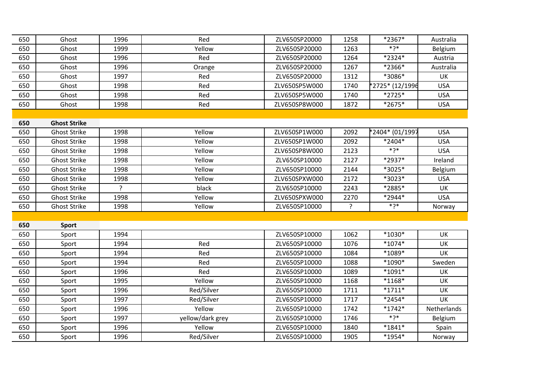| 650 | Ghost               | 1996 | Red              | ZLV650SP20000 | 1258 | *2367*          | Australia   |
|-----|---------------------|------|------------------|---------------|------|-----------------|-------------|
| 650 | Ghost               | 1999 | Yellow           | ZLV650SP20000 | 1263 | ∗?*             | Belgium     |
| 650 | Ghost               | 1996 | Red              | ZLV650SP20000 | 1264 | *2324*          | Austria     |
| 650 | Ghost               | 1996 | Orange           | ZLV650SP20000 | 1267 | *2366*          | Australia   |
| 650 | Ghost               | 1997 | Red              | ZLV650SP20000 | 1312 | *3086*          | UK          |
| 650 | Ghost               | 1998 | Red              | ZLV650SP5W000 | 1740 | *2725* (12/1996 | <b>USA</b>  |
| 650 | Ghost               | 1998 | Red              | ZLV650SP5W000 | 1740 | *2725*          | <b>USA</b>  |
| 650 | Ghost               | 1998 | Red              | ZLV650SP8W000 | 1872 | *2675*          | <b>USA</b>  |
|     |                     |      |                  |               |      |                 |             |
| 650 | <b>Ghost Strike</b> |      |                  |               |      |                 |             |
| 650 | <b>Ghost Strike</b> | 1998 | Yellow           | ZLV650SP1W000 | 2092 | *2404* (01/1997 | <b>USA</b>  |
| 650 | <b>Ghost Strike</b> | 1998 | Yellow           | ZLV650SP1W000 | 2092 | *2404*          | <b>USA</b>  |
| 650 | <b>Ghost Strike</b> | 1998 | Yellow           | ZLV650SP8W000 | 2123 | ∗?*             | <b>USA</b>  |
| 650 | <b>Ghost Strike</b> | 1998 | Yellow           | ZLV650SP10000 | 2127 | *2937*          | Ireland     |
| 650 | <b>Ghost Strike</b> | 1998 | Yellow           | ZLV650SP10000 | 2144 | *3025*          | Belgium     |
| 650 | <b>Ghost Strike</b> | 1998 | Yellow           | ZLV650SPXW000 | 2172 | *3023*          | <b>USA</b>  |
| 650 | <b>Ghost Strike</b> | ?    | black            | ZLV650SP10000 | 2243 | *2885*          | UK          |
| 650 | <b>Ghost Strike</b> | 1998 | Yellow           | ZLV650SPXW000 | 2270 | *2944*          | <b>USA</b>  |
| 650 | <b>Ghost Strike</b> | 1998 | Yellow           | ZLV650SP10000 | ç    | ∗?∗             | Norway      |
|     |                     |      |                  |               |      |                 |             |
| 650 | <b>Sport</b>        |      |                  |               |      |                 |             |
| 650 | Sport               | 1994 |                  | ZLV650SP10000 | 1062 | *1030*          | UK          |
| 650 | Sport               | 1994 | Red              | ZLV650SP10000 | 1076 | $*1074*$        | UK          |
| 650 | Sport               | 1994 | Red              | ZLV650SP10000 | 1084 | *1089*          | UK          |
| 650 | Sport               | 1994 | Red              | ZLV650SP10000 | 1088 | *1090*          | Sweden      |
| 650 | Sport               | 1996 | Red              | ZLV650SP10000 | 1089 | $*1091*$        | UK          |
| 650 | Sport               | 1995 | Yellow           | ZLV650SP10000 | 1168 | $*1168*$        | UK          |
| 650 | Sport               | 1996 | Red/Silver       | ZLV650SP10000 | 1711 | $*1711*$        | UK          |
| 650 | Sport               | 1997 | Red/Silver       | ZLV650SP10000 | 1717 | *2454*          | <b>UK</b>   |
| 650 | Sport               | 1996 | Yellow           | ZLV650SP10000 | 1742 | $*1742*$        | Netherlands |
| 650 | Sport               | 1997 | yellow/dark grey | ZLV650SP10000 | 1746 | $*2*$           | Belgium     |
| 650 | Sport               | 1996 | Yellow           | ZLV650SP10000 | 1840 | $*1841*$        | Spain       |
| 650 | Sport               | 1996 | Red/Silver       | ZLV650SP10000 | 1905 | *1954*          | Norway      |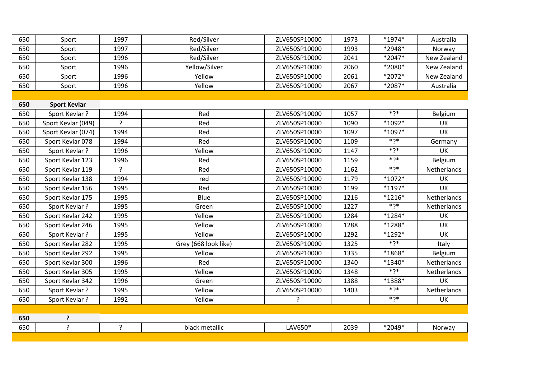| 650 | Sport               | 1997           | Red/Silver           | ZLV650SP10000 | 1973 | *1974*     | Australia   |
|-----|---------------------|----------------|----------------------|---------------|------|------------|-------------|
| 650 | Sport               | 1997           | Red/Silver           | ZLV650SP10000 | 1993 | *2948*     | Norway      |
| 650 | Sport               | 1996           | Red/Silver           | ZLV650SP10000 | 2041 | *2047*     | New Zealand |
| 650 | Sport               | 1996           | Yellow/Silver        | ZLV650SP10000 | 2060 | *2080*     | New Zealand |
| 650 | Sport               | 1996           | Yellow               | ZLV650SP10000 | 2061 | *2072*     | New Zealand |
| 650 | Sport               | 1996           | Yellow               | ZLV650SP10000 | 2067 | *2087*     | Australia   |
|     |                     |                |                      |               |      |            |             |
| 650 | <b>Sport Kevlar</b> |                |                      |               |      |            |             |
| 650 | Sport Kevlar?       | 1994           | Red                  | ZLV650SP10000 | 1057 | $*$ ? $*$  | Belgium     |
| 650 | Sport Kevlar (049)  | $\overline{?}$ | Red                  | ZLV650SP10000 | 1090 | *1092*     | UK          |
| 650 | Sport Kevlar (074)  | 1994           | Red                  | ZLV650SP10000 | 1097 | $*1097*$   | UK          |
| 650 | Sport Kevlar 078    | 1994           | Red                  | ZLV650SP10000 | 1109 | $*$ ךְ $*$ | Germany     |
| 650 | Sport Kevlar?       | 1996           | Yellow               | ZLV650SP10000 | 1147 | $*$ ךְ $*$ | UK          |
| 650 | Sport Kevlar 123    | 1996           | Red                  | ZLV650SP10000 | 1159 | $*2*$      | Belgium     |
| 650 | Sport Kevlar 119    | ?              | Red                  | ZLV650SP10000 | 1162 | $*2*$      | Netherlands |
| 650 | Sport Kevlar 138    | 1994           | red                  | ZLV650SP10000 | 1179 | $*1072*$   | UK          |
| 650 | Sport Kevlar 156    | 1995           | Red                  | ZLV650SP10000 | 1199 | $*1197*$   | UK          |
| 650 | Sport Kevlar 175    | 1995           | Blue                 | ZLV650SP10000 | 1216 | $*1216*$   | Netherlands |
| 650 | Sport Kevlar?       | 1995           | Green                | ZLV650SP10000 | 1227 | $*$ ךְ $*$ | Netherlands |
| 650 | Sport Kevlar 242    | 1995           | Yellow               | ZLV650SP10000 | 1284 | $*1284*$   | <b>UK</b>   |
| 650 | Sport Kevlar 246    | 1995           | Yellow               | ZLV650SP10000 | 1288 | *1288*     | <b>UK</b>   |
| 650 | Sport Kevlar?       | 1995           | Yellow               | ZLV650SP10000 | 1292 | $*1292*$   | UK          |
| 650 | Sport Kevlar 282    | 1995           | Grey (668 look like) | ZLV650SP10000 | 1325 | ∗?*        | Italy       |
| 650 | Sport Kevlar 292    | 1995           | Yellow               | ZLV650SP10000 | 1335 | *1868*     | Belgium     |
| 650 | Sport Kevlar 300    | 1996           | Red                  | ZLV650SP10000 | 1340 | *1340*     | Netherlands |
| 650 | Sport Kevlar 305    | 1995           | Yellow               | ZLV650SP10000 | 1348 | $*$ ךְ $*$ | Netherlands |
| 650 | Sport Kevlar 342    | 1996           | Green                | ZLV650SP10000 | 1388 | *1388*     | <b>UK</b>   |
| 650 | Sport Kevlar?       | 1995           | Yellow               | ZLV650SP10000 | 1403 | ∗?*        | Netherlands |
| 650 | Sport Kevlar?       | 1992           | Yellow               | ?             |      | $*2*$      | UK          |
|     |                     |                |                      |               |      |            |             |
| 650 | ?                   |                |                      |               |      |            |             |
| 650 | ?                   | ?              | black metallic       | LAV650*       | 2039 | *2049*     | Norway      |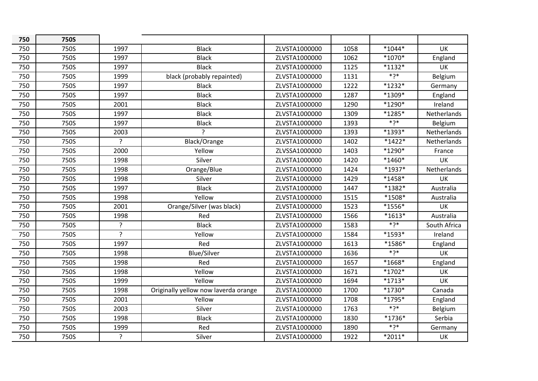| 750 | <b>750S</b> |                |                                      |               |      |           |              |
|-----|-------------|----------------|--------------------------------------|---------------|------|-----------|--------------|
| 750 | 750S        | 1997           | <b>Black</b>                         | ZLVSTA1000000 | 1058 | $*1044*$  | UK           |
| 750 | 750S        | 1997           | <b>Black</b>                         | ZLVSTA1000000 | 1062 | *1070*    | England      |
| 750 | 750S        | 1997           | <b>Black</b>                         | ZLVSTA1000000 | 1125 | $*1132*$  | UK           |
| 750 | 750S        | 1999           | black (probably repainted)           | ZLVSTA1000000 | 1131 | $*2*$     | Belgium      |
| 750 | 750S        | 1997           | <b>Black</b>                         | ZLVSTA1000000 | 1222 | $*1232*$  | Germany      |
| 750 | 750S        | 1997           | <b>Black</b>                         | ZLVSTA1000000 | 1287 | *1309*    | England      |
| 750 | 750S        | 2001           | <b>Black</b>                         | ZLVSTA1000000 | 1290 | *1290*    | Ireland      |
| 750 | 750S        | 1997           | <b>Black</b>                         | ZLVSTA1000000 | 1309 | $*1285*$  | Netherlands  |
| 750 | 750S        | 1997           | <b>Black</b>                         | ZLVSTA1000000 | 1393 | $*2*$     | Belgium      |
| 750 | 750S        | 2003           | $\overline{a}$                       | ZLVSTA1000000 | 1393 | *1393*    | Netherlands  |
| 750 | 750S        | $\overline{?}$ | Black/Orange                         | ZLVSTA1000000 | 1402 | $*1422*$  | Netherlands  |
| 750 | 750S        | 2000           | Yellow                               | ZLVSSA1000000 | 1403 | *1290*    | France       |
| 750 | 750S        | 1998           | Silver                               | ZLVSTA1000000 | 1420 | $*1460*$  | UK           |
| 750 | 750S        | 1998           | Orange/Blue                          | ZLVSTA1000000 | 1424 | *1937*    | Netherlands  |
| 750 | 750S        | 1998           | Silver                               | ZLVSTA1000000 | 1429 | $*1458*$  | UK           |
| 750 | 750S        | 1997           | <b>Black</b>                         | ZLVSTA1000000 | 1447 | *1382*    | Australia    |
| 750 | 750S        | 1998           | Yellow                               | ZLVSTA1000000 | 1515 | *1508*    | Australia    |
| 750 | 750S        | 2001           | Orange/Silver (was black)            | ZLVSTA1000000 | 1523 | *1556*    | UK           |
| 750 | 750S        | 1998           | Red                                  | ZLVSTA1000000 | 1566 | $*1613*$  | Australia    |
| 750 | 750S        | $\overline{?}$ | <b>Black</b>                         | ZLVSTA1000000 | 1583 | $*$ ך $*$ | South Africa |
| 750 | 750S        | $\overline{?}$ | Yellow                               | ZLVSTA1000000 | 1584 | *1593*    | Ireland      |
| 750 | 750S        | 1997           | Red                                  | ZLVSTA1000000 | 1613 | *1586*    | England      |
| 750 | 750S        | 1998           | <b>Blue/Silver</b>                   | ZLVSTA1000000 | 1636 | $*2*$     | UK           |
| 750 | 750S        | 1998           | Red                                  | ZLVSTA1000000 | 1657 | *1668*    | England      |
| 750 | 750S        | 1998           | Yellow                               | ZLVSTA1000000 | 1671 | $*1702*$  | UK           |
| 750 | 750S        | 1999           | Yellow                               | ZLVSTA1000000 | 1694 | $*1713*$  | UK           |
| 750 | 750S        | 1998           | Originally yellow now laverda orange | ZLVSTA1000000 | 1700 | $*1730*$  | Canada       |
| 750 | 750S        | 2001           | Yellow                               | ZLVSTA1000000 | 1708 | *1795*    | England      |
| 750 | 750S        | 2003           | Silver                               | ZLVSTA1000000 | 1763 | $*2*$     | Belgium      |
| 750 | 750S        | 1998           | <b>Black</b>                         | ZLVSTA1000000 | 1830 | *1736*    | Serbia       |
| 750 | 750S        | 1999           | Red                                  | ZLVSTA1000000 | 1890 | $*2*$     | Germany      |
| 750 | 750S        | ?              | Silver                               | ZLVSTA1000000 | 1922 | $*2011*$  | UK           |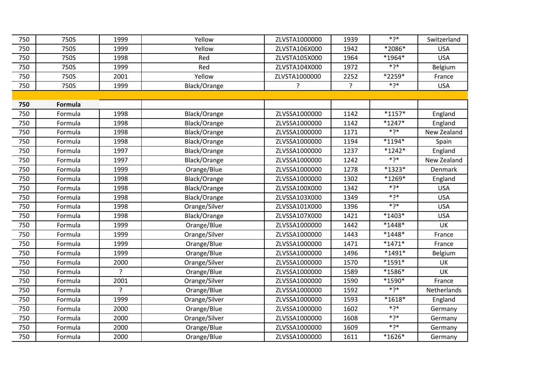| 750 | 750S    | 1999           | Yellow        | ZLVSTA1000000 | 1939 | $*$ ך $*$  | Switzerland |
|-----|---------|----------------|---------------|---------------|------|------------|-------------|
| 750 | 750S    | 1999           | Yellow        | ZLVSTA106X000 | 1942 | *2086*     | <b>USA</b>  |
| 750 | 750S    | 1998           | Red           | ZLVSTA105X000 | 1964 | $*1964*$   | <b>USA</b>  |
| 750 | 750S    | 1999           | Red           | ZLVSTA104X000 | 1972 | $*$ ךְ $*$ | Belgium     |
| 750 | 750S    | 2001           | Yellow        | ZLVSTA1000000 | 2252 | *2259*     | France      |
| 750 | 750S    | 1999           | Black/Orange  | ?             | ?    | $*7*$      | <b>USA</b>  |
|     |         |                |               |               |      |            |             |
| 750 | Formula |                |               |               |      |            |             |
| 750 | Formula | 1998           | Black/Orange  | ZLVSSA1000000 | 1142 | $*1157*$   | England     |
| 750 | Formula | 1998           | Black/Orange  | ZLVSSA1000000 | 1142 | $*1247*$   | England     |
| 750 | Formula | 1998           | Black/Orange  | ZLVSSA1000000 | 1171 | $*2*$      | New Zealand |
| 750 | Formula | 1998           | Black/Orange  | ZLVSSA1000000 | 1194 | $*1194*$   | Spain       |
| 750 | Formula | 1997           | Black/Orange  | ZLVSSA1000000 | 1237 | $*1242*$   | England     |
| 750 | Formula | 1997           | Black/Orange  | ZLVSSA1000000 | 1242 | $*7*$      | New Zealand |
| 750 | Formula | 1999           | Orange/Blue   | ZLVSSA1000000 | 1278 | *1323*     | Denmark     |
| 750 | Formula | 1998           | Black/Orange  | ZLVSSA1000000 | 1302 | *1269*     | England     |
| 750 | Formula | 1998           | Black/Orange  | ZLVSSA100X000 | 1342 | $*7*$      | <b>USA</b>  |
| 750 | Formula | 1998           | Black/Orange  | ZLVSSA103X000 | 1349 | $*$ ךְ $*$ | <b>USA</b>  |
| 750 | Formula | 1998           | Orange/Silver | ZLVSSA101X000 | 1396 | $*2*$      | <b>USA</b>  |
| 750 | Formula | 1998           | Black/Orange  | ZLVSSA107X000 | 1421 | $*1403*$   | <b>USA</b>  |
| 750 | Formula | 1999           | Orange/Blue   | ZLVSSA1000000 | 1442 | $*1448*$   | UK          |
| 750 | Formula | 1999           | Orange/Silver | ZLVSSA1000000 | 1443 | $*1448*$   | France      |
| 750 | Formula | 1999           | Orange/Blue   | ZLVSSA1000000 | 1471 | $*1471*$   | France      |
| 750 | Formula | 1999           | Orange/Blue   | ZLVSSA1000000 | 1496 | $*1491*$   | Belgium     |
| 750 | Formula | 2000           | Orange/Silver | ZLVSSA1000000 | 1570 | $*1591*$   | UK          |
| 750 | Formula | $\overline{?}$ | Orange/Blue   | ZLVSSA1000000 | 1589 | $*1586*$   | UK          |
| 750 | Formula | 2001           | Orange/Silver | ZLVSSA1000000 | 1590 | $*1590*$   | France      |
| 750 | Formula | ?              | Orange/Blue   | ZLVSSA1000000 | 1592 | $*2*$      | Netherlands |
| 750 | Formula | 1999           | Orange/Silver | ZLVSSA1000000 | 1593 | $*1618*$   | England     |
| 750 | Formula | 2000           | Orange/Blue   | ZLVSSA1000000 | 1602 | $*2*$      | Germany     |
| 750 | Formula | 2000           | Orange/Silver | ZLVSSA1000000 | 1608 | $*2*$      | Germany     |
| 750 | Formula | 2000           | Orange/Blue   | ZLVSSA1000000 | 1609 | $*2*$      | Germany     |
| 750 | Formula | 2000           | Orange/Blue   | ZLVSSA1000000 | 1611 | $*1626*$   | Germany     |